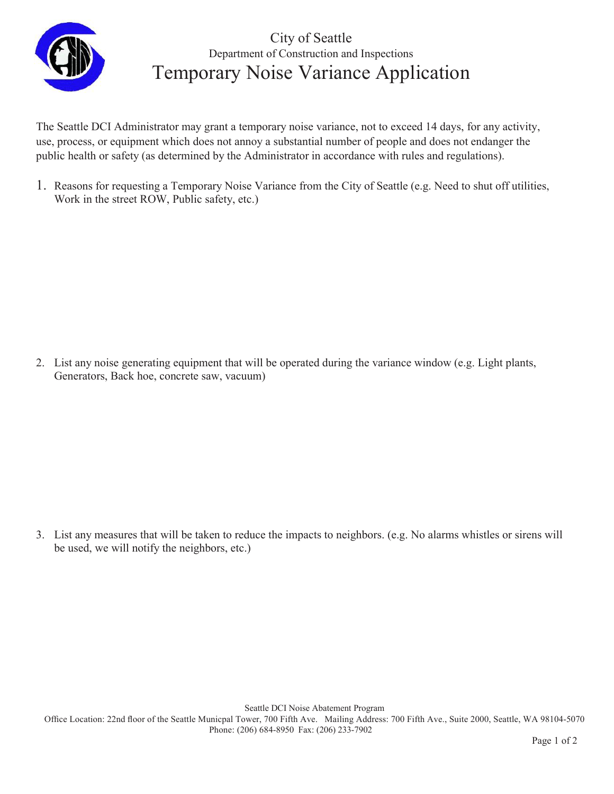

## City of Seattle Department of Construction and Inspections Temporary Noise Variance Application

The Seattle DCI Administrator may grant a temporary noise variance, not to exceed 14 days, for any activity, use, process, or equipment which does not annoy a substantial number of people and does not endanger the public health or safety (as determined by the Administrator in accordance with rules and regulations).

1. Reasons for requesting a Temporary Noise Variance from the City of Seattle (e.g. Need to shut off utilities, Work in the street ROW, Public safety, etc.)

2. List any noise generating equipment that will be operated during the variance window (e.g. Light plants, Generators, Back hoe, concrete saw, vacuum)

3. List any measures that will be taken to reduce the impacts to neighbors. (e.g. No alarms whistles or sirens will be used, we will notify the neighbors, etc.)